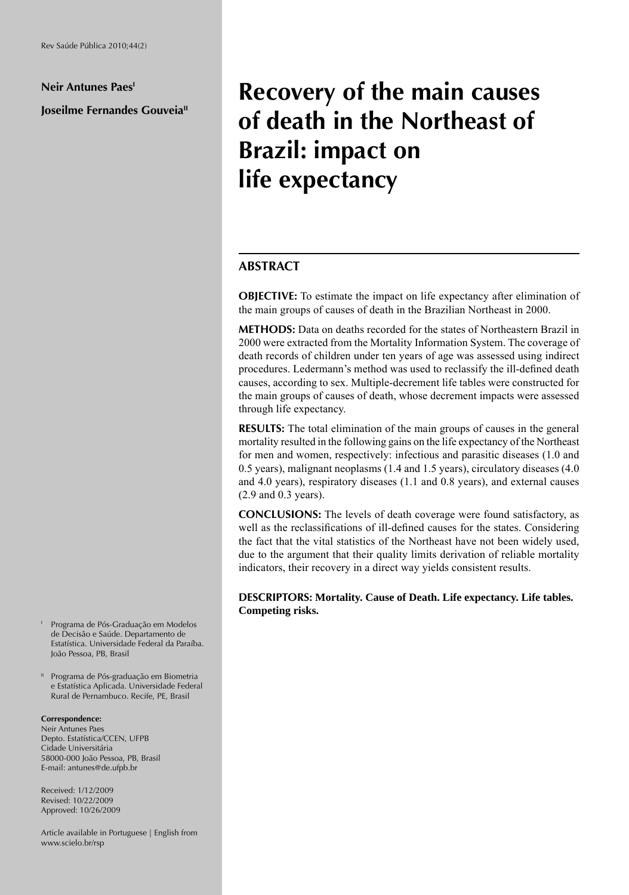### **Neir Antunes PaesI**

## **Joseilme Fernandes Gouveia**"

# **Recovery of the main causes of death in the Northeast of Brazil: impact on life expectancy**

## **ABSTRACT**

**OBJECTIVE:** To estimate the impact on life expectancy after elimination of the main groups of causes of death in the Brazilian Northeast in 2000.

**METHODS:** Data on deaths recorded for the states of Northeastern Brazil in 2000 were extracted from the Mortality Information System. The coverage of death records of children under ten years of age was assessed using indirect procedures. Ledermann's method was used to reclassify the ill-defined death causes, according to sex. Multiple-decrement life tables were constructed for the main groups of causes of death, whose decrement impacts were assessed through life expectancy.

**RESULTS:** The total elimination of the main groups of causes in the general mortality resulted in the following gains on the life expectancy of the Northeast for men and women, respectively: infectious and parasitic diseases (1.0 and 0.5 years), malignant neoplasms (1.4 and 1.5 years), circulatory diseases (4.0 and 4.0 years), respiratory diseases (1.1 and 0.8 years), and external causes (2.9 and 0.3 years).

**CONCLUSIONS:** The levels of death coverage were found satisfactory, as well as the reclassifications of ill-defined causes for the states. Considering the fact that the vital statistics of the Northeast have not been widely used, due to the argument that their quality limits derivation of reliable mortality indicators, their recovery in a direct way yields consistent results.

**DESCRIPTORS: Mortality. Cause of Death. Life expectancy. Life tables. Competing risks.**

- I Programa de Pós-Graduação em Modelos de Decisão e Saúde. Departamento de Estatística. Universidade Federal da Paraíba. João Pessoa, PB, Brasil
- <sup>11</sup> Programa de Pós-graduação em Biometria e Estatística Aplicada. Universidade Federal Rural de Pernambuco. Recife, PE, Brasil

#### **Correspondence:**

Neir Antunes Paes Depto. Estatística/CCEN, UFPB Cidade Universitária 58000-000 João Pessoa, PB, Brasil E-mail: antunes@de.ufpb.br

Received: 1/12/2009 Revised: 10/22/2009 Approved: 10/26/2009

Article available in Portuguese | English from www.scielo.br/rsp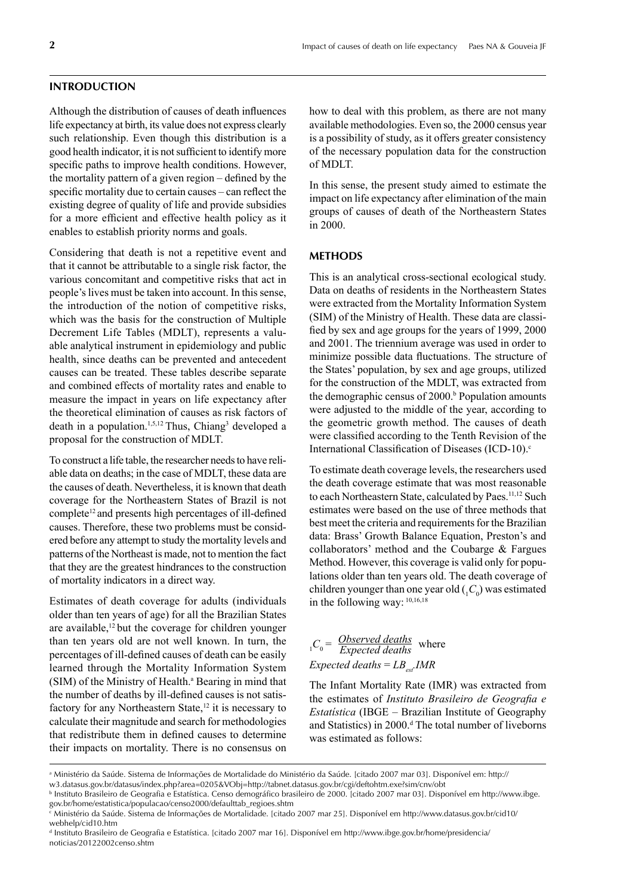#### **INTRODUCTION**

Although the distribution of causes of death influences life expectancy at birth, its value does not express clearly such relationship. Even though this distribution is a good health indicator, it is not sufficient to identify more specific paths to improve health conditions. However, the mortality pattern of a given region – defined by the specific mortality due to certain causes – can reflect the existing degree of quality of life and provide subsidies for a more efficient and effective health policy as it enables to establish priority norms and goals.

Considering that death is not a repetitive event and that it cannot be attributable to a single risk factor, the various concomitant and competitive risks that act in people's lives must be taken into account. In this sense, the introduction of the notion of competitive risks, which was the basis for the construction of Multiple Decrement Life Tables (MDLT), represents a valuable analytical instrument in epidemiology and public health, since deaths can be prevented and antecedent causes can be treated. These tables describe separate and combined effects of mortality rates and enable to measure the impact in years on life expectancy after the theoretical elimination of causes as risk factors of death in a population.<sup>1,5,12</sup> Thus, Chiang<sup>3</sup> developed a proposal for the construction of MDLT.

To construct a life table, the researcher needs to have reliable data on deaths; in the case of MDLT, these data are the causes of death. Nevertheless, it is known that death coverage for the Northeastern States of Brazil is not complete<sup>12</sup> and presents high percentages of ill-defined causes. Therefore, these two problems must be considered before any attempt to study the mortality levels and patterns of the Northeast is made, not to mention the fact that they are the greatest hindrances to the construction of mortality indicators in a direct way.

Estimates of death coverage for adults (individuals older than ten years of age) for all the Brazilian States are available,<sup>12</sup> but the coverage for children younger than ten years old are not well known. In turn, the percentages of ill-defined causes of death can be easily learned through the Mortality Information System (SIM) of the Ministry of Health.<sup>a</sup> Bearing in mind that the number of deaths by ill-defined causes is not satisfactory for any Northeastern State, $12$  it is necessary to calculate their magnitude and search for methodologies that redistribute them in defined causes to determine their impacts on mortality. There is no consensus on

how to deal with this problem, as there are not many available methodologies. Even so, the 2000 census year is a possibility of study, as it offers greater consistency of the necessary population data for the construction of MDLT.

In this sense, the present study aimed to estimate the impact on life expectancy after elimination of the main groups of causes of death of the Northeastern States in 2000.

## **METHODS**

This is an analytical cross-sectional ecological study. Data on deaths of residents in the Northeastern States were extracted from the Mortality Information System (SIM) of the Ministry of Health. These data are classified by sex and age groups for the years of 1999, 2000 and 2001. The triennium average was used in order to minimize possible data fluctuations. The structure of the States' population, by sex and age groups, utilized for the construction of the MDLT, was extracted from the demographic census of 2000.<sup>b</sup> Population amounts were adjusted to the middle of the year, according to the geometric growth method. The causes of death were classified according to the Tenth Revision of the International Classification of Diseases (ICD-10).<sup>c</sup>

To estimate death coverage levels, the researchers used the death coverage estimate that was most reasonable to each Northeastern State, calculated by Paes.<sup>11,12</sup> Such estimates were based on the use of three methods that best meet the criteria and requirements for the Brazilian data: Brass' Growth Balance Equation, Preston's and collaborators' method and the Coubarge & Fargues Method. However, this coverage is valid only for populations older than ten years old. The death coverage of children younger than one year old  $\binom{C_0}{k}$  was estimated in the following way: 10,16,18

 $C_0 = \frac{Observed \ deaths}{Expected \ deaths}$  where *Expected deaths* =  $LB_{set}$ *IMR Expected deaths*

The Infant Mortality Rate (IMR) was extracted from the estimates of *Instituto Brasileiro de Geografia e Estatística* (IBGE – Brazilian Institute of Geography and Statistics) in 2000.<sup>d</sup> The total number of liveborns was estimated as follows:

d Instituto Brasileiro de Geografia e Estatística. [citado 2007 mar 16]. Disponível em http://www.ibge.gov.br/home/presidencia/ noticias/20122002censo.shtm

a Ministério da Saúde. Sistema de Informações de Mortalidade do Ministério da Saúde. [citado 2007 mar 03]. Disponível em: http:// w3.datasus.gov.br/datasus/index.php?area=0205&VObj=http://tabnet.datasus.gov.br/cgi/deftohtm.exe?sim/cnv/obt

b Instituto Brasileiro de Geografia e Estatística. Censo demográfico brasileiro de 2000. [citado 2007 mar 03]. Disponível em http://www.ibge. gov.br/home/estatistica/populacao/censo2000/defaulttab\_regioes.shtm

c Ministério da Saúde. Sistema de Informações de Mortalidade. [citado 2007 mar 25]. Disponível em http://www.datasus.gov.br/cid10/ webhelp/cid10.htm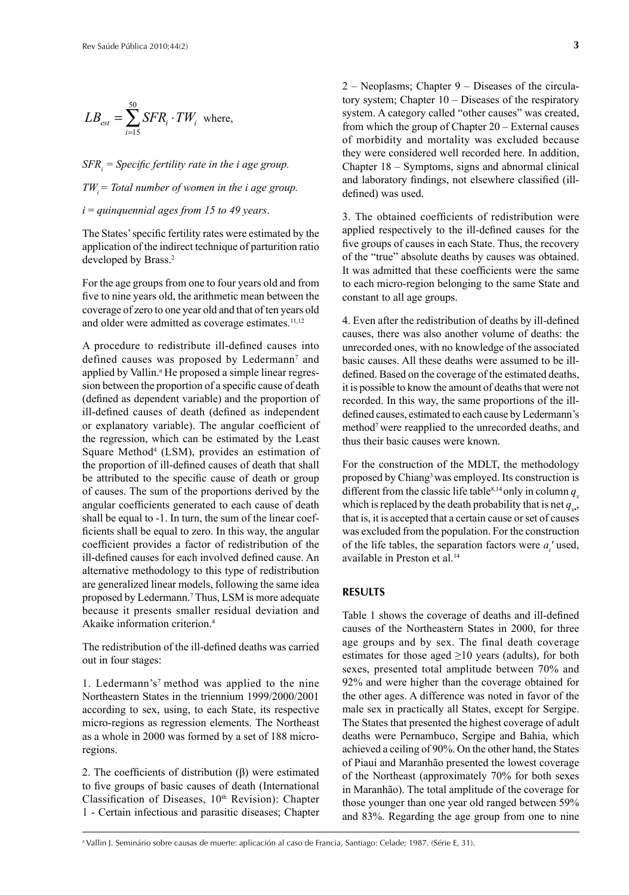$$
LB_{est} = \sum_{i=15}^{50} SFR_i \cdot TW_i
$$
 where,

*SFR<sub>i</sub>* = *Specific fertility rate in the i age group.*  $TW_i = Total number of women in the i age group.$ *i* = *quinquennial ages from 15 to 49 years*.

The States' specific fertility rates were estimated by the application of the indirect technique of parturition ratio developed by Brass.<sup>2</sup>

For the age groups from one to four years old and from five to nine years old, the arithmetic mean between the coverage of zero to one year old and that of ten years old and older were admitted as coverage estimates.<sup>11,12</sup>

A procedure to redistribute ill-defined causes into defined causes was proposed by Ledermann<sup>7</sup> and applied by Vallin.<sup>a</sup> He proposed a simple linear regression between the proportion of a specific cause of death (defined as dependent variable) and the proportion of ill-defined causes of death (defined as independent or explanatory variable). The angular coefficient of the regression, which can be estimated by the Least Square Method<sup>4</sup> (LSM), provides an estimation of the proportion of ill-defined causes of death that shall be attributed to the specific cause of death or group of causes. The sum of the proportions derived by the angular coefficients generated to each cause of death shall be equal to -1. In turn, the sum of the linear coefficients shall be equal to zero. In this way, the angular coefficient provides a factor of redistribution of the ill-defined causes for each involved defined cause. An alternative methodology to this type of redistribution are generalized linear models, following the same idea proposed by Ledermann.7 Thus, LSM is more adequate because it presents smaller residual deviation and Akaike information criterion.4

The redistribution of the ill-defined deaths was carried out in four stages:

1. Ledermann's7 method was applied to the nine Northeastern States in the triennium 1999/2000/2001 according to sex, using, to each State, its respective micro-regions as regression elements. The Northeast as a whole in 2000 was formed by a set of 188 microregions.

2. The coefficients of distribution  $(\beta)$  were estimated to five groups of basic causes of death (International Classification of Diseases, 10<sup>th</sup> Revision): Chapter 1 - Certain infectious and parasitic diseases; Chapter 2 – Neoplasms; Chapter 9 – Diseases of the circulatory system; Chapter 10 – Diseases of the respiratory system. A category called "other causes" was created, from which the group of Chapter 20 – External causes of morbidity and mortality was excluded because they were considered well recorded here. In addition, Chapter 18 – Symptoms, signs and abnormal clinical and laboratory findings, not elsewhere classified (illdefined) was used.

3. The obtained coefficients of redistribution were applied respectively to the ill-defined causes for the five groups of causes in each State. Thus, the recovery of the "true" absolute deaths by causes was obtained. It was admitted that these coefficients were the same to each micro-region belonging to the same State and constant to all age groups.

4. Even after the redistribution of deaths by ill-defined causes, there was also another volume of deaths: the unrecorded ones, with no knowledge of the associated basic causes. All these deaths were assumed to be illdefined. Based on the coverage of the estimated deaths, it is possible to know the amount of deaths that were not recorded. In this way, the same proportions of the illdefined causes, estimated to each cause by Ledermann's method7 were reapplied to the unrecorded deaths, and thus their basic causes were known.

For the construction of the MDLT, the methodology proposed by Chiang<sup>3</sup> was employed. Its construction is different from the classic life table<sup>8,14</sup> only in column  $q_a$ which is replaced by the death probability that is net  $q_x$ . that is, it is accepted that a certain cause or set of causes was excluded from the population. For the construction of the life tables, the separation factors were  $a_i$ ' used, available in Preston et al.14

## **RESULTS**

Table 1 shows the coverage of deaths and ill-defined causes of the Northeastern States in 2000, for three age groups and by sex. The final death coverage estimates for those aged  $\geq 10$  years (adults), for both sexes, presented total amplitude between 70% and 92% and were higher than the coverage obtained for the other ages. A difference was noted in favor of the male sex in practically all States, except for Sergipe. The States that presented the highest coverage of adult deaths were Pernambuco, Sergipe and Bahia, which achieved a ceiling of 90%. On the other hand, the States of Piauí and Maranhão presented the lowest coverage of the Northeast (approximately 70% for both sexes in Maranhão). The total amplitude of the coverage for those younger than one year old ranged between 59% and 83%. Regarding the age group from one to nine

a Vallin J. Seminário sobre causas de muerte: aplicación al caso de Francia, Santiago: Celade; 1987. (Série E, 31).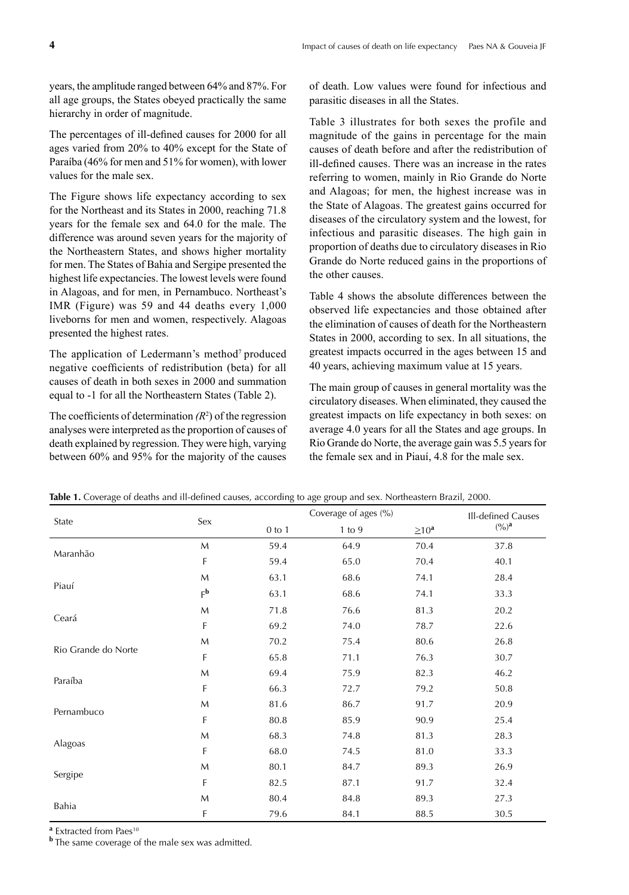years, the amplitude ranged between 64% and 87%. For all age groups, the States obeyed practically the same hierarchy in order of magnitude.

The percentages of ill-defined causes for 2000 for all ages varied from 20% to 40% except for the State of Paraíba (46% for men and 51% for women), with lower values for the male sex.

The Figure shows life expectancy according to sex for the Northeast and its States in 2000, reaching 71.8 years for the female sex and 64.0 for the male. The difference was around seven years for the majority of the Northeastern States, and shows higher mortality for men. The States of Bahia and Sergipe presented the highest life expectancies. The lowest levels were found in Alagoas, and for men, in Pernambuco. Northeast's IMR (Figure) was 59 and 44 deaths every 1,000 liveborns for men and women, respectively. Alagoas presented the highest rates.

The application of Ledermann's method<sup>7</sup> produced negative coefficients of redistribution (beta) for all causes of death in both sexes in 2000 and summation equal to -1 for all the Northeastern States (Table 2).

The coefficients of determination  $(R^2)$  of the regression analyses were interpreted as the proportion of causes of death explained by regression. They were high, varying between 60% and 95% for the majority of the causes

of death. Low values were found for infectious and parasitic diseases in all the States.

Table 3 illustrates for both sexes the profile and magnitude of the gains in percentage for the main causes of death before and after the redistribution of ill-defined causes. There was an increase in the rates referring to women, mainly in Rio Grande do Norte and Alagoas; for men, the highest increase was in the State of Alagoas. The greatest gains occurred for diseases of the circulatory system and the lowest, for infectious and parasitic diseases. The high gain in proportion of deaths due to circulatory diseases in Rio Grande do Norte reduced gains in the proportions of the other causes.

Table 4 shows the absolute differences between the observed life expectancies and those obtained after the elimination of causes of death for the Northeastern States in 2000, according to sex. In all situations, the greatest impacts occurred in the ages between 15 and 40 years, achieving maximum value at 15 years.

The main group of causes in general mortality was the circulatory diseases. When eliminated, they caused the greatest impacts on life expectancy in both sexes: on average 4.0 years for all the States and age groups. In Rio Grande do Norte, the average gain was 5.5 years for the female sex and in Piauí, 4.8 for the male sex.

| State               | Sex         |            | Coverage of ages (%) |             |           |  |  |  |
|---------------------|-------------|------------|----------------------|-------------|-----------|--|--|--|
|                     |             | $0$ to $1$ | $1$ to $9$           | $\geq 10^a$ | $(9/0)^a$ |  |  |  |
| Maranhão            | M           | 59.4       | 64.9                 | 70.4        | 37.8      |  |  |  |
|                     | F           | 59.4       | 65.0                 | 70.4        | 40.1      |  |  |  |
| Piauí               | M           | 63.1       | 68.6                 | 74.1        | 28.4      |  |  |  |
|                     | $F^{\bf b}$ | 63.1       | 68.6                 | 74.1        | 33.3      |  |  |  |
|                     | M           | 71.8       | 76.6                 | 81.3        | 20.2      |  |  |  |
| Ceará               | F           | 69.2       | 74.0                 | 78.7        | 22.6      |  |  |  |
| Rio Grande do Norte | M           | 70.2       | 75.4                 | 80.6        | 26.8      |  |  |  |
|                     | F           | 65.8       | 71.1                 | 76.3        | 30.7      |  |  |  |
| Paraíba             | M           | 69.4       | 75.9                 | 82.3        | 46.2      |  |  |  |
|                     | F           | 66.3       | 72.7                 | 79.2        | 50.8      |  |  |  |
| Pernambuco          | M           | 81.6       | 86.7                 | 91.7        | 20.9      |  |  |  |
|                     | F           | 80.8       | 85.9                 | 90.9        | 25.4      |  |  |  |
| Alagoas             | M           | 68.3       | 74.8                 | 81.3        | 28.3      |  |  |  |
|                     | F           | 68.0       | 74.5                 | 81.0        | 33.3      |  |  |  |
| Sergipe             | M           | 80.1       | 84.7                 | 89.3        | 26.9      |  |  |  |
|                     | F           | 82.5       | 87.1                 | 91.7        | 32.4      |  |  |  |
| Bahia               | M           | 80.4       | 84.8                 | 89.3        | 27.3      |  |  |  |
|                     | F           | 79.6       | 84.1                 | 88.5        | 30.5      |  |  |  |

Table 1. Coverage of deaths and ill-defined causes, according to age group and sex. Northeastern Brazil, 2000.

<sup>a</sup> Extracted from Paes<sup>10</sup>

**b** The same coverage of the male sex was admitted.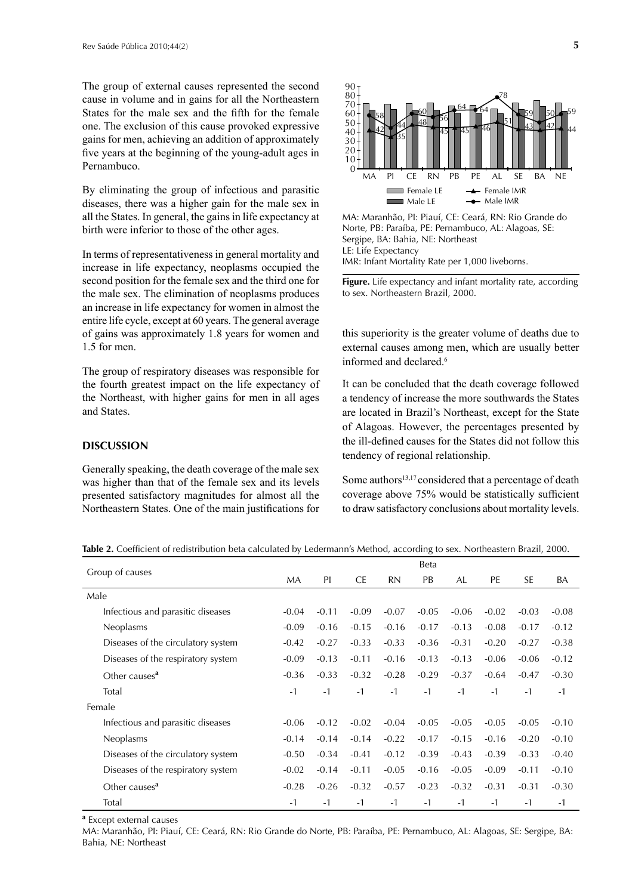The group of external causes represented the second cause in volume and in gains for all the Northeastern States for the male sex and the fifth for the female one. The exclusion of this cause provoked expressive gains for men, achieving an addition of approximately five years at the beginning of the young-adult ages in Pernambuco.

By eliminating the group of infectious and parasitic diseases, there was a higher gain for the male sex in all the States. In general, the gains in life expectancy at birth were inferior to those of the other ages.

In terms of representativeness in general mortality and increase in life expectancy, neoplasms occupied the second position for the female sex and the third one for the male sex. The elimination of neoplasms produces an increase in life expectancy for women in almost the entire life cycle, except at 60 years. The general average of gains was approximately 1.8 years for women and 1.5 for men.

The group of respiratory diseases was responsible for the fourth greatest impact on the life expectancy of the Northeast, with higher gains for men in all ages and States.

## **DISCUSSION**

Generally speaking, the death coverage of the male sex was higher than that of the female sex and its levels presented satisfactory magnitudes for almost all the Northeastern States. One of the main justifications for



MA: Maranhão, PI: Piauí, CE: Ceará, RN: Rio Grande do Norte, PB: Paraíba, PE: Pernambuco, AL: Alagoas, SE: Sergipe, BA: Bahia, NE: Northeast LE: Life Expectancy IMR: Infant Mortality Rate per 1,000 liveborns.

**Figure.** Life expectancy and infant mortality rate, according to sex. Northeastern Brazil, 2000.

this superiority is the greater volume of deaths due to external causes among men, which are usually better informed and declared.6

It can be concluded that the death coverage followed a tendency of increase the more southwards the States are located in Brazil's Northeast, except for the State of Alagoas. However, the percentages presented by the ill-defined causes for the States did not follow this tendency of regional relationship.

Some authors<sup>13,17</sup> considered that a percentage of death coverage above 75% would be statistically sufficient to draw satisfactory conclusions about mortality levels.

| Group of causes                    |           |         |           |           | Beta    |         |         |           |         |
|------------------------------------|-----------|---------|-----------|-----------|---------|---------|---------|-----------|---------|
|                                    | <b>MA</b> | PI      | <b>CE</b> | <b>RN</b> | PB      | AL      | PE      | <b>SE</b> | BA      |
| Male                               |           |         |           |           |         |         |         |           |         |
| Infectious and parasitic diseases  | $-0.04$   | $-0.11$ | $-0.09$   | $-0.07$   | $-0.05$ | $-0.06$ | $-0.02$ | $-0.03$   | $-0.08$ |
| Neoplasms                          | $-0.09$   | $-0.16$ | $-0.15$   | $-0.16$   | $-0.17$ | $-0.13$ | $-0.08$ | $-0.17$   | $-0.12$ |
| Diseases of the circulatory system | $-0.42$   | $-0.27$ | $-0.33$   | $-0.33$   | $-0.36$ | $-0.31$ | $-0.20$ | $-0.27$   | $-0.38$ |
| Diseases of the respiratory system | $-0.09$   | $-0.13$ | $-0.11$   | $-0.16$   | $-0.13$ | $-0.13$ | $-0.06$ | $-0.06$   | $-0.12$ |
| Other causes <sup>a</sup>          | $-0.36$   | $-0.33$ | $-0.32$   | $-0.28$   | $-0.29$ | $-0.37$ | $-0.64$ | $-0.47$   | $-0.30$ |
| Total                              | $-1$      | $-1$    | $-1$      | $-1$      | $-1$    | $-1$    | $-1$    | $-1$      | $-1$    |
| Female                             |           |         |           |           |         |         |         |           |         |
| Infectious and parasitic diseases  | $-0.06$   | $-0.12$ | $-0.02$   | $-0.04$   | $-0.05$ | $-0.05$ | $-0.05$ | $-0.05$   | $-0.10$ |
| Neoplasms                          | $-0.14$   | $-0.14$ | $-0.14$   | $-0.22$   | $-0.17$ | $-0.15$ | $-0.16$ | $-0.20$   | $-0.10$ |
| Diseases of the circulatory system | $-0.50$   | $-0.34$ | $-0.41$   | $-0.12$   | $-0.39$ | $-0.43$ | $-0.39$ | $-0.33$   | $-0.40$ |
| Diseases of the respiratory system | $-0.02$   | $-0.14$ | $-0.11$   | $-0.05$   | $-0.16$ | $-0.05$ | $-0.09$ | $-0.11$   | $-0.10$ |
| Other causes <sup>a</sup>          | $-0.28$   | $-0.26$ | $-0.32$   | $-0.57$   | $-0.23$ | $-0.32$ | $-0.31$ | $-0.31$   | $-0.30$ |
| Total                              | $-1$      | $-1$    | $-1$      | $-1$      | $-1$    | $-1$    | $-1$    | $-1$      | $-1$    |

Table 2. Coefficient of redistribution beta calculated by Ledermann's Method, according to sex. Northeastern Brazil, 2000.

**a** Except external causes

MA: Maranhão, PI: Piauí, CE: Ceará, RN: Rio Grande do Norte, PB: Paraíba, PE: Pernambuco, AL: Alagoas, SE: Sergipe, BA: Bahia, NE: Northeast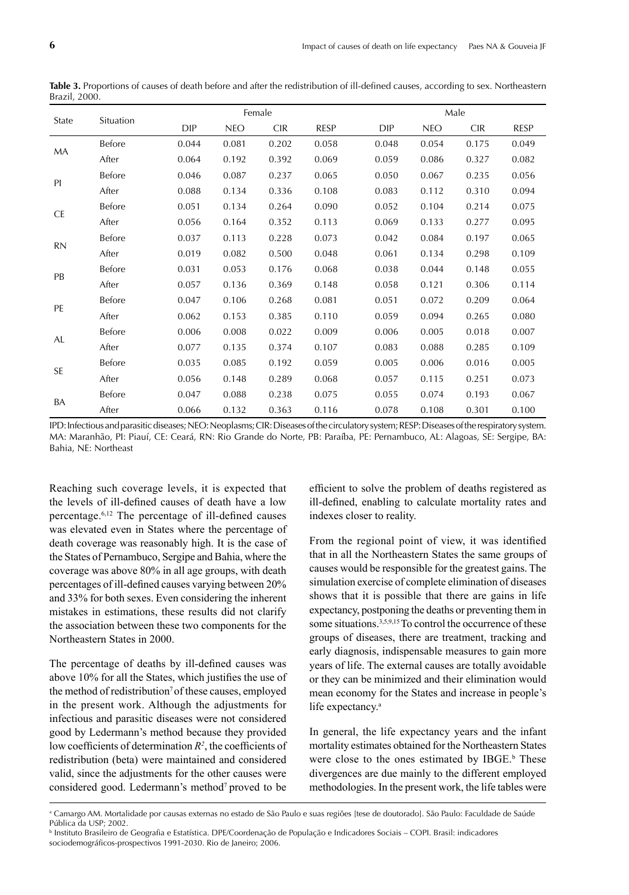| State     | Situation     |            |            | Female     |             | Male  |            |            |       |  |
|-----------|---------------|------------|------------|------------|-------------|-------|------------|------------|-------|--|
|           |               | <b>DIP</b> | <b>NEO</b> | <b>CIR</b> | <b>RESP</b> | DIP   | <b>NEO</b> | <b>CIR</b> | RESP  |  |
| МA        | Before        | 0.044      | 0.081      | 0.202      | 0.058       | 0.048 | 0.054      | 0.175      | 0.049 |  |
|           | After         | 0.064      | 0.192      | 0.392      | 0.069       | 0.059 | 0.086      | 0.327      | 0.082 |  |
| PI        | Before        | 0.046      | 0.087      | 0.237      | 0.065       | 0.050 | 0.067      | 0.235      | 0.056 |  |
|           | After         | 0.088      | 0.134      | 0.336      | 0.108       | 0.083 | 0.112      | 0.310      | 0.094 |  |
| <b>CE</b> | Before        | 0.051      | 0.134      | 0.264      | 0.090       | 0.052 | 0.104      | 0.214      | 0.075 |  |
|           | After         | 0.056      | 0.164      | 0.352      | 0.113       | 0.069 | 0.133      | 0.277      | 0.095 |  |
| RN        | <b>Before</b> | 0.037      | 0.113      | 0.228      | 0.073       | 0.042 | 0.084      | 0.197      | 0.065 |  |
|           | After         | 0.019      | 0.082      | 0.500      | 0.048       | 0.061 | 0.134      | 0.298      | 0.109 |  |
|           | Before        | 0.031      | 0.053      | 0.176      | 0.068       | 0.038 | 0.044      | 0.148      | 0.055 |  |
| PB        | After         | 0.057      | 0.136      | 0.369      | 0.148       | 0.058 | 0.121      | 0.306      | 0.114 |  |
| PE        | Before        | 0.047      | 0.106      | 0.268      | 0.081       | 0.051 | 0.072      | 0.209      | 0.064 |  |
|           | After         | 0.062      | 0.153      | 0.385      | 0.110       | 0.059 | 0.094      | 0.265      | 0.080 |  |
| AL        | Before        | 0.006      | 0.008      | 0.022      | 0.009       | 0.006 | 0.005      | 0.018      | 0.007 |  |
|           | After         | 0.077      | 0.135      | 0.374      | 0.107       | 0.083 | 0.088      | 0.285      | 0.109 |  |
| <b>SE</b> | Before        | 0.035      | 0.085      | 0.192      | 0.059       | 0.005 | 0.006      | 0.016      | 0.005 |  |
|           | After         | 0.056      | 0.148      | 0.289      | 0.068       | 0.057 | 0.115      | 0.251      | 0.073 |  |
|           | Before        | 0.047      | 0.088      | 0.238      | 0.075       | 0.055 | 0.074      | 0.193      | 0.067 |  |
| BA        | After         | 0.066      | 0.132      | 0.363      | 0.116       | 0.078 | 0.108      | 0.301      | 0.100 |  |

**Table 3.** Proportions of causes of death before and after the redistribution of ill-defined causes, according to sex. Northeastern Brazil, 2000.

IPD: Infectious and parasitic diseases; NEO: Neoplasms; CIR: Diseases of the circulatory system; RESP: Diseases of the respiratory system. MA: Maranhão, PI: Piauí, CE: Ceará, RN: Rio Grande do Norte, PB: Paraíba, PE: Pernambuco, AL: Alagoas, SE: Sergipe, BA: Bahia, NE: Northeast

Reaching such coverage levels, it is expected that the levels of ill-defined causes of death have a low percentage.<sup> $6,12$ </sup> The percentage of ill-defined causes was elevated even in States where the percentage of death coverage was reasonably high. It is the case of the States of Pernambuco, Sergipe and Bahia, where the coverage was above 80% in all age groups, with death percentages of ill-defined causes varying between 20% and 33% for both sexes. Even considering the inherent mistakes in estimations, these results did not clarify the association between these two components for the Northeastern States in 2000.

The percentage of deaths by ill-defined causes was above 10% for all the States, which justifies the use of the method of redistribution<sup>7</sup> of these causes, employed in the present work. Although the adjustments for infectious and parasitic diseases were not considered good by Ledermann's method because they provided low coefficients of determination  $R^2$ , the coefficients of redistribution (beta) were maintained and considered valid, since the adjustments for the other causes were considered good. Ledermann's method<sup>7</sup> proved to be

efficient to solve the problem of deaths registered as ill-defined, enabling to calculate mortality rates and indexes closer to reality.

From the regional point of view, it was identified that in all the Northeastern States the same groups of causes would be responsible for the greatest gains. The simulation exercise of complete elimination of diseases shows that it is possible that there are gains in life expectancy, postponing the deaths or preventing them in some situations.<sup>3,5,9,15</sup> To control the occurrence of these groups of diseases, there are treatment, tracking and early diagnosis, indispensable measures to gain more years of life. The external causes are totally avoidable or they can be minimized and their elimination would mean economy for the States and increase in people's life expectancy.<sup>a</sup>

In general, the life expectancy years and the infant mortality estimates obtained for the Northeastern States were close to the ones estimated by  $IBGE$ .<sup>b</sup> These divergences are due mainly to the different employed methodologies. In the present work, the life tables were

a Camargo AM. Mortalidade por causas externas no estado de São Paulo e suas regiões [tese de doutorado]. São Paulo: Faculdade de Saúde Pública da USP; 2002.

b Instituto Brasileiro de Geografia e Estatística. DPE/Coordenação de População e Indicadores Sociais – COPI. Brasil: indicadores sociodemográficos-prospectivos 1991-2030. Rio de Janeiro; 2006.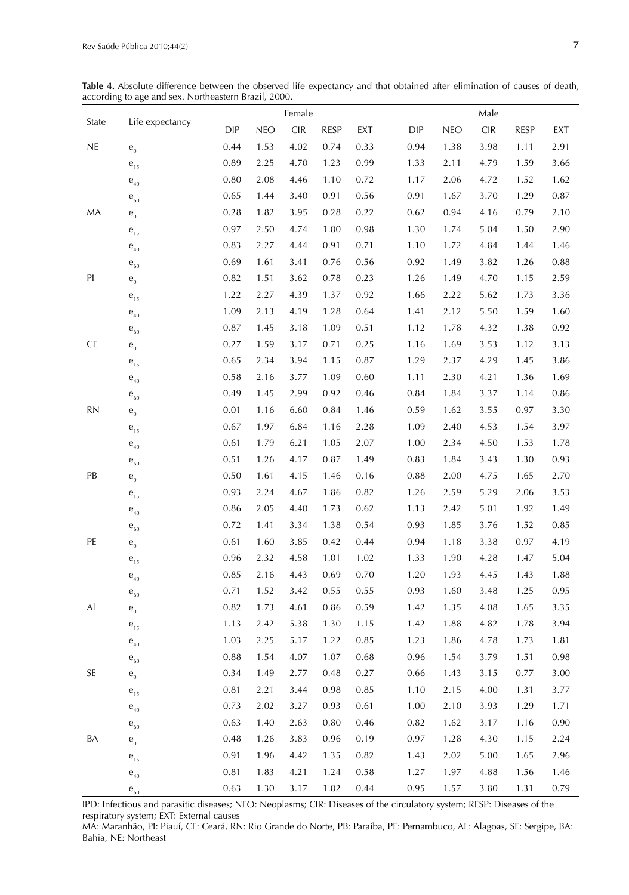|           | Life expectancy                     |            | Female     |                                    |             |      |      | Male       |                                    |             |      |  |  |
|-----------|-------------------------------------|------------|------------|------------------------------------|-------------|------|------|------------|------------------------------------|-------------|------|--|--|
| State     |                                     | <b>DIP</b> | <b>NEO</b> | $\ensuremath{\mathsf{CIR}}\xspace$ | <b>RESP</b> | EXT  | DIP  | <b>NEO</b> | $\ensuremath{\mathsf{CIR}}\xspace$ | <b>RESP</b> | EXT  |  |  |
| NE        | ${\bf e}_{\scriptscriptstyle 0}$    | 0.44       | 1.53       | 4.02                               | 0.74        | 0.33 | 0.94 | 1.38       | 3.98                               | 1.11        | 2.91 |  |  |
|           | $\mathbf{e}_{_{15}}$                | 0.89       | 2.25       | 4.70                               | 1.23        | 0.99 | 1.33 | 2.11       | 4.79                               | 1.59        | 3.66 |  |  |
|           | $\mathbf{e}_{_{40}}$                | 0.80       | 2.08       | 4.46                               | 1.10        | 0.72 | 1.17 | 2.06       | 4.72                               | 1.52        | 1.62 |  |  |
|           | ${\bf e}_{_{60}}$                   | 0.65       | 1.44       | 3.40                               | 0.91        | 0.56 | 0.91 | 1.67       | 3.70                               | 1.29        | 0.87 |  |  |
| MA        | $\mathbf{e}_{\scriptscriptstyle 0}$ | 0.28       | 1.82       | 3.95                               | 0.28        | 0.22 | 0.62 | 0.94       | 4.16                               | 0.79        | 2.10 |  |  |
|           | $\mathbf{e}_{_{15}}$                | 0.97       | 2.50       | 4.74                               | 1.00        | 0.98 | 1.30 | 1.74       | 5.04                               | 1.50        | 2.90 |  |  |
|           | ${\bf e}_{_{40}}$                   | 0.83       | 2.27       | 4.44                               | 0.91        | 0.71 | 1.10 | 1.72       | 4.84                               | 1.44        | 1.46 |  |  |
|           | ${\bf e}_{_{60}}$                   | 0.69       | 1.61       | 3.41                               | 0.76        | 0.56 | 0.92 | 1.49       | 3.82                               | 1.26        | 0.88 |  |  |
| PI        | $\mathbf{e}_{\scriptscriptstyle 0}$ | 0.82       | 1.51       | 3.62                               | 0.78        | 0.23 | 1.26 | 1.49       | 4.70                               | 1.15        | 2.59 |  |  |
|           | $\mathbf{e}_{_{15}}$                | 1.22       | 2.27       | 4.39                               | 1.37        | 0.92 | 1.66 | 2.22       | 5.62                               | 1.73        | 3.36 |  |  |
|           | ${\bf e}_{_{40}}$                   | 1.09       | 2.13       | 4.19                               | 1.28        | 0.64 | 1.41 | 2.12       | 5.50                               | 1.59        | 1.60 |  |  |
|           | ${\bf e}_{_{60}}$                   | 0.87       | 1.45       | 3.18                               | 1.09        | 0.51 | 1.12 | 1.78       | 4.32                               | 1.38        | 0.92 |  |  |
| <b>CE</b> | $\mathbf{e}_{\scriptscriptstyle 0}$ | 0.27       | 1.59       | 3.17                               | 0.71        | 0.25 | 1.16 | 1.69       | 3.53                               | 1.12        | 3.13 |  |  |
|           | $\mathbf{e}_{_{15}}$                | 0.65       | 2.34       | 3.94                               | 1.15        | 0.87 | 1.29 | 2.37       | 4.29                               | 1.45        | 3.86 |  |  |
|           | $\mathbf{e}_{_{40}}$                | 0.58       | 2.16       | 3.77                               | 1.09        | 0.60 | 1.11 | 2.30       | 4.21                               | 1.36        | 1.69 |  |  |
|           | ${\bf e}_{_{60}}$                   | 0.49       | 1.45       | 2.99                               | 0.92        | 0.46 | 0.84 | 1.84       | 3.37                               | 1.14        | 0.86 |  |  |
| <b>RN</b> | ${\bf e}_{\scriptscriptstyle 0}$    | 0.01       | 1.16       | 6.60                               | 0.84        | 1.46 | 0.59 | 1.62       | 3.55                               | 0.97        | 3.30 |  |  |
|           | $\mathbf{e}_{_{15}}$                | 0.67       | 1.97       | 6.84                               | 1.16        | 2.28 | 1.09 | 2.40       | 4.53                               | 1.54        | 3.97 |  |  |
|           | ${\bf e}_{_{40}}$                   | 0.61       | 1.79       | 6.21                               | 1.05        | 2.07 | 1.00 | 2.34       | 4.50                               | 1.53        | 1.78 |  |  |
|           | ${\bf e}_{_{60}}$                   | 0.51       | 1.26       | 4.17                               | 0.87        | 1.49 | 0.83 | 1.84       | 3.43                               | 1.30        | 0.93 |  |  |
| PB        | ${\bf e}_{\scriptscriptstyle 0}$    | 0.50       | 1.61       | 4.15                               | 1.46        | 0.16 | 0.88 | 2.00       | 4.75                               | 1.65        | 2.70 |  |  |
|           | $\mathbf{e}_{_{15}}$                | 0.93       | 2.24       | 4.67                               | 1.86        | 0.82 | 1.26 | 2.59       | 5.29                               | 2.06        | 3.53 |  |  |
|           | $\mathbf{e}_{_{40}}$                | 0.86       | 2.05       | 4.40                               | 1.73        | 0.62 | 1.13 | 2.42       | 5.01                               | 1.92        | 1.49 |  |  |
|           | ${\bf e}_{_{60}}$                   | 0.72       | 1.41       | 3.34                               | 1.38        | 0.54 | 0.93 | 1.85       | 3.76                               | 1.52        | 0.85 |  |  |
| PE        | $\mathbf{e}_{\scriptscriptstyle 0}$ | 0.61       | 1.60       | 3.85                               | 0.42        | 0.44 | 0.94 | 1.18       | 3.38                               | 0.97        | 4.19 |  |  |
|           | $\mathbf{e}_{_{15}}$                | 0.96       | 2.32       | 4.58                               | 1.01        | 1.02 | 1.33 | 1.90       | 4.28                               | 1.47        | 5.04 |  |  |
|           | $\mathbf{e}_{_{40}}$                | 0.85       | 2.16       | 4.43                               | 0.69        | 0.70 | 1.20 | 1.93       | 4.45                               | 1.43        | 1.88 |  |  |
|           | ${\bf e}_{_{60}}$                   | 0.71       | 1.52       | 3.42                               | 0.55        | 0.55 | 0.93 | 1.60       | 3.48                               | 1.25        | 0.95 |  |  |
| Al        | $\mathbf{e}_{\scriptscriptstyle 0}$ | 0.82       | 1.73       | 4.61                               | 0.86        | 0.59 | 1.42 | 1.35       | 4.08                               | 1.65        | 3.35 |  |  |
|           | $\mathbf{e}_{_{15}}$                | 1.13       | 2.42       | 5.38                               | 1.30        | 1.15 | 1.42 | 1.88       | 4.82                               | 1.78        | 3.94 |  |  |
|           | $\mathsf e_{\scriptscriptstyle 40}$ | 1.03       | 2.25       | 5.17                               | 1.22        | 0.85 | 1.23 | 1.86       | 4.78                               | 1.73        | 1.81 |  |  |
|           | $\mathsf e_{\scriptscriptstyle 60}$ | 0.88       | 1.54       | 4.07                               | 1.07        | 0.68 | 0.96 | 1.54       | 3.79                               | 1.51        | 0.98 |  |  |
| SE        | $e_0$                               | 0.34       | 1.49       | 2.77                               | 0.48        | 0.27 | 0.66 | 1.43       | 3.15                               | 0.77        | 3.00 |  |  |
|           | $\mathbf{e}_{_{15}}$                | 0.81       | 2.21       | 3.44                               | 0.98        | 0.85 | 1.10 | 2.15       | 4.00                               | 1.31        | 3.77 |  |  |
|           | $\mathsf e_{\scriptscriptstyle 40}$ | 0.73       | 2.02       | 3.27                               | 0.93        | 0.61 | 1.00 | 2.10       | 3.93                               | 1.29        | 1.71 |  |  |
|           | $\mathsf e_{\scriptscriptstyle 60}$ | 0.63       | 1.40       | 2.63                               | 0.80        | 0.46 | 0.82 | 1.62       | 3.17                               | 1.16        | 0.90 |  |  |
| BA        | ${\bf e}_{\scriptscriptstyle 0}$    | 0.48       | 1.26       | 3.83                               | 0.96        | 0.19 | 0.97 | 1.28       | 4.30                               | 1.15        | 2.24 |  |  |
|           | $\mathbf{e}_{_{15}}$                | 0.91       | 1.96       | 4.42                               | 1.35        | 0.82 | 1.43 | 2.02       | 5.00                               | 1.65        | 2.96 |  |  |
|           | $\mathbf{e}_{_{40}}$                | 0.81       | 1.83       | 4.21                               | 1.24        | 0.58 | 1.27 | 1.97       | 4.88                               | 1.56        | 1.46 |  |  |
|           | ${\bf e}_{_{60}}$                   | 0.63       | 1.30       | 3.17                               | 1.02        | 0.44 | 0.95 | 1.57       | 3.80                               | 1.31        | 0.79 |  |  |

**Table 4.** Absolute difference between the observed life expectancy and that obtained after elimination of causes of death, according to age and sex. Northeastern Brazil, 2000.

IPD: Infectious and parasitic diseases; NEO: Neoplasms; CIR: Diseases of the circulatory system; RESP: Diseases of the respiratory system; EXT: External causes

MA: Maranhão, PI: Piauí, CE: Ceará, RN: Rio Grande do Norte, PB: Paraíba, PE: Pernambuco, AL: Alagoas, SE: Sergipe, BA: Bahia, NE: Northeast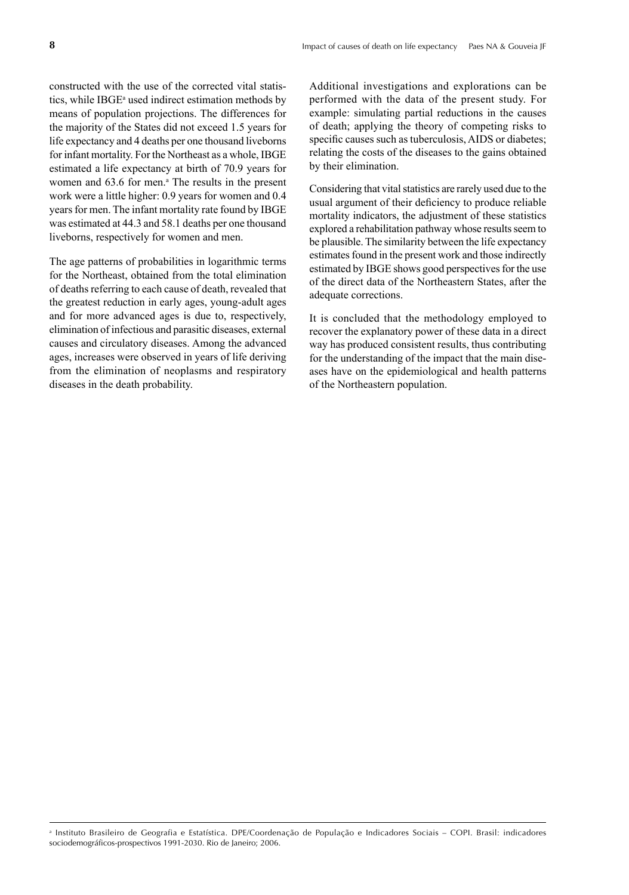constructed with the use of the corrected vital statistics, while IBGE<sup>a</sup> used indirect estimation methods by means of population projections. The differences for the majority of the States did not exceed 1.5 years for life expectancy and 4 deaths per one thousand liveborns for infant mortality. For the Northeast as a whole, IBGE estimated a life expectancy at birth of 70.9 years for women and 63.6 for men.<sup>a</sup> The results in the present work were a little higher: 0.9 years for women and 0.4 years for men. The infant mortality rate found by IBGE was estimated at 44.3 and 58.1 deaths per one thousand liveborns, respectively for women and men.

The age patterns of probabilities in logarithmic terms for the Northeast, obtained from the total elimination of deaths referring to each cause of death, revealed that the greatest reduction in early ages, young-adult ages and for more advanced ages is due to, respectively, elimination of infectious and parasitic diseases, external causes and circulatory diseases. Among the advanced ages, increases were observed in years of life deriving from the elimination of neoplasms and respiratory diseases in the death probability.

Additional investigations and explorations can be performed with the data of the present study. For example: simulating partial reductions in the causes of death; applying the theory of competing risks to specific causes such as tuberculosis, AIDS or diabetes; relating the costs of the diseases to the gains obtained by their elimination.

Considering that vital statistics are rarely used due to the usual argument of their deficiency to produce reliable mortality indicators, the adjustment of these statistics explored a rehabilitation pathway whose results seem to be plausible. The similarity between the life expectancy estimates found in the present work and those indirectly estimated by IBGE shows good perspectives for the use of the direct data of the Northeastern States, after the adequate corrections.

It is concluded that the methodology employed to recover the explanatory power of these data in a direct way has produced consistent results, thus contributing for the understanding of the impact that the main diseases have on the epidemiological and health patterns of the Northeastern population.

a Instituto Brasileiro de Geografia e Estatística. DPE/Coordenação de População e Indicadores Sociais – COPI. Brasil: indicadores sociodemográficos-prospectivos 1991-2030. Rio de Janeiro; 2006.